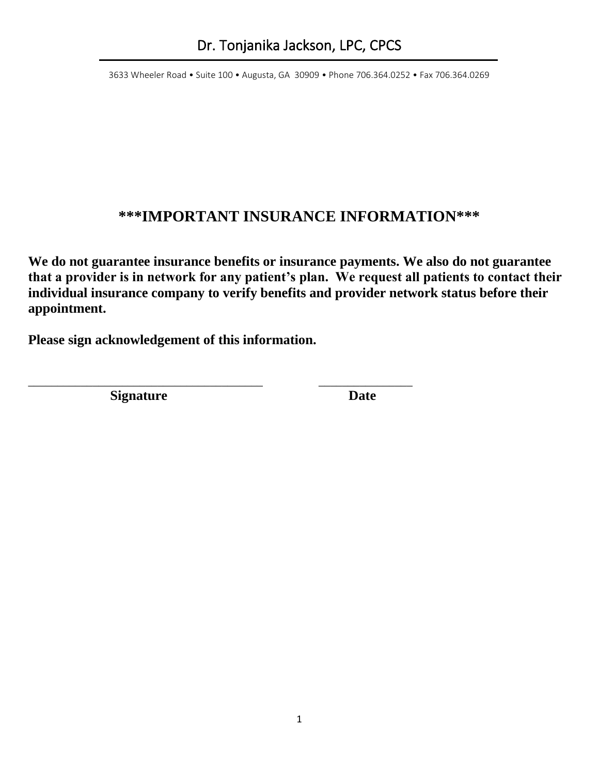## **\*\*\*IMPORTANT INSURANCE INFORMATION\*\*\***

**We do not guarantee insurance benefits or insurance payments. We also do not guarantee that a provider is in network for any patient's plan. We request all patients to contact their individual insurance company to verify benefits and provider network status before their appointment.** 

**Please sign acknowledgement of this information.**

\_\_\_\_\_\_\_\_\_\_\_\_\_\_\_\_\_\_\_\_\_\_\_\_\_\_\_\_\_\_\_\_\_\_\_\_\_\_\_\_ \_\_\_\_\_\_\_\_\_\_\_\_\_\_\_\_

**Signature** Date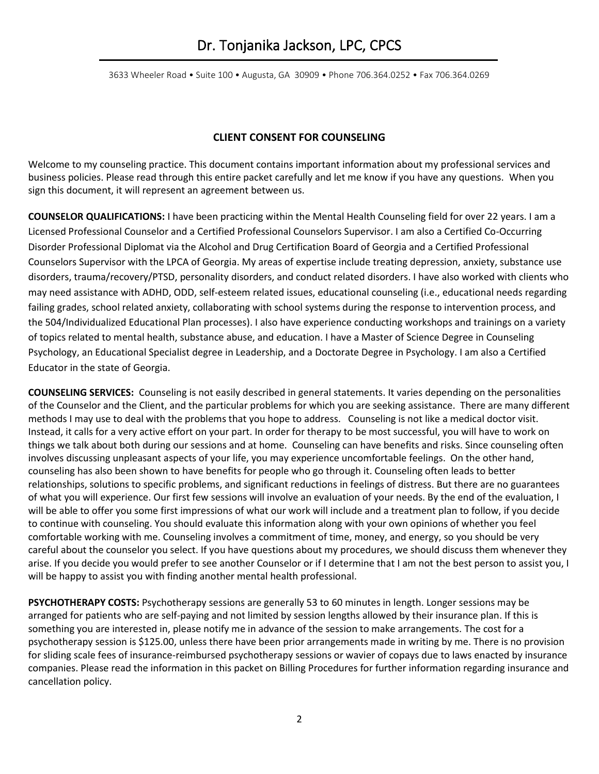#### **CLIENT CONSENT FOR COUNSELING**

Welcome to my counseling practice. This document contains important information about my professional services and business policies. Please read through this entire packet carefully and let me know if you have any questions. When you sign this document, it will represent an agreement between us.

**COUNSELOR QUALIFICATIONS:** I have been practicing within the Mental Health Counseling field for over 22 years. I am a Licensed Professional Counselor and a Certified Professional Counselors Supervisor. I am also a Certified Co-Occurring Disorder Professional Diplomat via the Alcohol and Drug Certification Board of Georgia and a Certified Professional Counselors Supervisor with the LPCA of Georgia. My areas of expertise include treating depression, anxiety, substance use disorders, trauma/recovery/PTSD, personality disorders, and conduct related disorders. I have also worked with clients who may need assistance with ADHD, ODD, self-esteem related issues, educational counseling (i.e., educational needs regarding failing grades, school related anxiety, collaborating with school systems during the response to intervention process, and the 504/Individualized Educational Plan processes). I also have experience conducting workshops and trainings on a variety of topics related to mental health, substance abuse, and education. I have a Master of Science Degree in Counseling Psychology, an Educational Specialist degree in Leadership, and a Doctorate Degree in Psychology. I am also a Certified Educator in the state of Georgia.

**COUNSELING SERVICES:** Counseling is not easily described in general statements. It varies depending on the personalities of the Counselor and the Client, and the particular problems for which you are seeking assistance. There are many different methods I may use to deal with the problems that you hope to address. Counseling is not like a medical doctor visit. Instead, it calls for a very active effort on your part. In order for therapy to be most successful, you will have to work on things we talk about both during our sessions and at home. Counseling can have benefits and risks. Since counseling often involves discussing unpleasant aspects of your life, you may experience uncomfortable feelings. On the other hand, counseling has also been shown to have benefits for people who go through it. Counseling often leads to better relationships, solutions to specific problems, and significant reductions in feelings of distress. But there are no guarantees of what you will experience. Our first few sessions will involve an evaluation of your needs. By the end of the evaluation, I will be able to offer you some first impressions of what our work will include and a treatment plan to follow, if you decide to continue with counseling. You should evaluate this information along with your own opinions of whether you feel comfortable working with me. Counseling involves a commitment of time, money, and energy, so you should be very careful about the counselor you select. If you have questions about my procedures, we should discuss them whenever they arise. If you decide you would prefer to see another Counselor or if I determine that I am not the best person to assist you, I will be happy to assist you with finding another mental health professional.

**PSYCHOTHERAPY COSTS:** Psychotherapy sessions are generally 53 to 60 minutes in length. Longer sessions may be arranged for patients who are self-paying and not limited by session lengths allowed by their insurance plan. If this is something you are interested in, please notify me in advance of the session to make arrangements. The cost for a psychotherapy session is \$125.00, unless there have been prior arrangements made in writing by me. There is no provision for sliding scale fees of insurance-reimbursed psychotherapy sessions or wavier of copays due to laws enacted by insurance companies. Please read the information in this packet on Billing Procedures for further information regarding insurance and cancellation policy.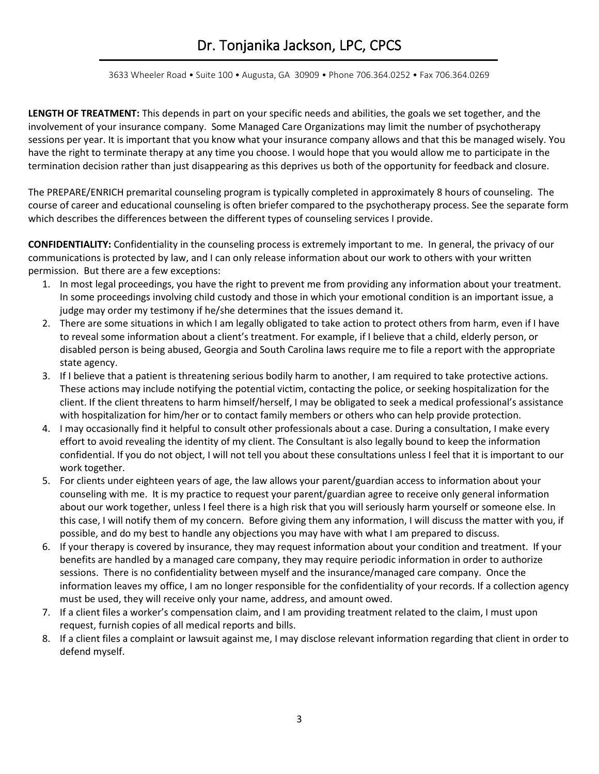3633 Wheeler Road • Suite 100 • Augusta, GA 30909 • Phone 706.364.0252 • Fax 706.364.0269

**LENGTH OF TREATMENT:** This depends in part on your specific needs and abilities, the goals we set together, and the involvement of your insurance company. Some Managed Care Organizations may limit the number of psychotherapy sessions per year. It is important that you know what your insurance company allows and that this be managed wisely. You have the right to terminate therapy at any time you choose. I would hope that you would allow me to participate in the termination decision rather than just disappearing as this deprives us both of the opportunity for feedback and closure.

The PREPARE/ENRICH premarital counseling program is typically completed in approximately 8 hours of counseling. The course of career and educational counseling is often briefer compared to the psychotherapy process. See the separate form which describes the differences between the different types of counseling services I provide.

**CONFIDENTIALITY:** Confidentiality in the counseling process is extremely important to me. In general, the privacy of our communications is protected by law, and I can only release information about our work to others with your written permission. But there are a few exceptions:

- 1. In most legal proceedings, you have the right to prevent me from providing any information about your treatment. In some proceedings involving child custody and those in which your emotional condition is an important issue, a judge may order my testimony if he/she determines that the issues demand it.
- 2. There are some situations in which I am legally obligated to take action to protect others from harm, even if I have to reveal some information about a client's treatment. For example, if I believe that a child, elderly person, or disabled person is being abused, Georgia and South Carolina laws require me to file a report with the appropriate state agency.
- 3. If I believe that a patient is threatening serious bodily harm to another, I am required to take protective actions. These actions may include notifying the potential victim, contacting the police, or seeking hospitalization for the client. If the client threatens to harm himself/herself, I may be obligated to seek a medical professional's assistance with hospitalization for him/her or to contact family members or others who can help provide protection.
- 4. I may occasionally find it helpful to consult other professionals about a case. During a consultation, I make every effort to avoid revealing the identity of my client. The Consultant is also legally bound to keep the information confidential. If you do not object, I will not tell you about these consultations unless I feel that it is important to our work together.
- 5. For clients under eighteen years of age, the law allows your parent/guardian access to information about your counseling with me. It is my practice to request your parent/guardian agree to receive only general information about our work together, unless I feel there is a high risk that you will seriously harm yourself or someone else. In this case, I will notify them of my concern. Before giving them any information, I will discuss the matter with you, if possible, and do my best to handle any objections you may have with what I am prepared to discuss.
- 6. If your therapy is covered by insurance, they may request information about your condition and treatment. If your benefits are handled by a managed care company, they may require periodic information in order to authorize sessions. There is no confidentiality between myself and the insurance/managed care company. Once the information leaves my office, I am no longer responsible for the confidentiality of your records. If a collection agency must be used, they will receive only your name, address, and amount owed.
- 7. If a client files a worker's compensation claim, and I am providing treatment related to the claim, I must upon request, furnish copies of all medical reports and bills.
- 8. If a client files a complaint or lawsuit against me, I may disclose relevant information regarding that client in order to defend myself.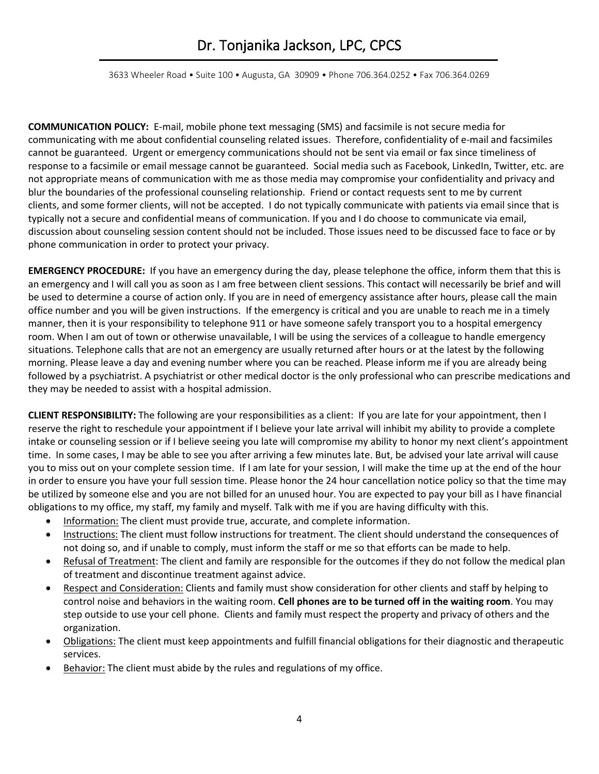3633 Wheeler Road • Suite 100 • Augusta, GA 30909 • Phone 706.364.0252 • Fax 706.364.0269

**COMMUNICATION POLICY:** E-mail, mobile phone text messaging (SMS) and facsimile is not secure media for communicating with me about confidential counseling related issues. Therefore, confidentiality of e-mail and facsimiles cannot be guaranteed. Urgent or emergency communications should not be sent via email or fax since timeliness of response to a facsimile or email message cannot be guaranteed. Social media such as Facebook, LinkedIn, Twitter, etc. are not appropriate means of communication with me as those media may compromise your confidentiality and privacy and blur the boundaries of the professional counseling relationship. Friend or contact requests sent to me by current clients, and some former clients, will not be accepted. I do not typically communicate with patients via email since that is typically not a secure and confidential means of communication. If you and I do choose to communicate via email, discussion about counseling session content should not be included. Those issues need to be discussed face to face or by phone communication in order to protect your privacy.

**EMERGENCY PROCEDURE:** If you have an emergency during the day, please telephone the office, inform them that this is an emergency and I will call you as soon as I am free between client sessions. This contact will necessarily be brief and will be used to determine a course of action only. If you are in need of emergency assistance after hours, please call the main office number and you will be given instructions. If the emergency is critical and you are unable to reach me in a timely manner, then it is your responsibility to telephone 911 or have someone safely transport you to a hospital emergency room. When I am out of town or otherwise unavailable, I will be using the services of a colleague to handle emergency situations. Telephone calls that are not an emergency are usually returned after hours or at the latest by the following morning. Please leave a day and evening number where you can be reached. Please inform me if you are already being followed by a psychiatrist. A psychiatrist or other medical doctor is the only professional who can prescribe medications and they may be needed to assist with a hospital admission.

**CLIENT RESPONSIBILITY:** The following are your responsibilities as a client: If you are late for your appointment, then I reserve the right to reschedule your appointment if I believe your late arrival will inhibit my ability to provide a complete intake or counseling session or if I believe seeing you late will compromise my ability to honor my next client's appointment time. In some cases, I may be able to see you after arriving a few minutes late. But, be advised your late arrival will cause you to miss out on your complete session time. If I am late for your session, I will make the time up at the end of the hour in order to ensure you have your full session time. Please honor the 24 hour cancellation notice policy so that the time may be utilized by someone else and you are not billed for an unused hour. You are expected to pay your bill as I have financial obligations to my office, my staff, my family and myself. Talk with me if you are having difficulty with this.

- Information: The client must provide true, accurate, and complete information.
- Instructions: The client must follow instructions for treatment. The client should understand the consequences of not doing so, and if unable to comply, must inform the staff or me so that efforts can be made to help.
- Refusal of Treatment: The client and family are responsible for the outcomes if they do not follow the medical plan of treatment and discontinue treatment against advice.
- Respect and Consideration: Clients and family must show consideration for other clients and staff by helping to control noise and behaviors in the waiting room. **Cell phones are to be turned off in the waiting room**. You may step outside to use your cell phone. Clients and family must respect the property and privacy of others and the organization.
- Obligations: The client must keep appointments and fulfill financial obligations for their diagnostic and therapeutic services.
- Behavior: The client must abide by the rules and regulations of my office.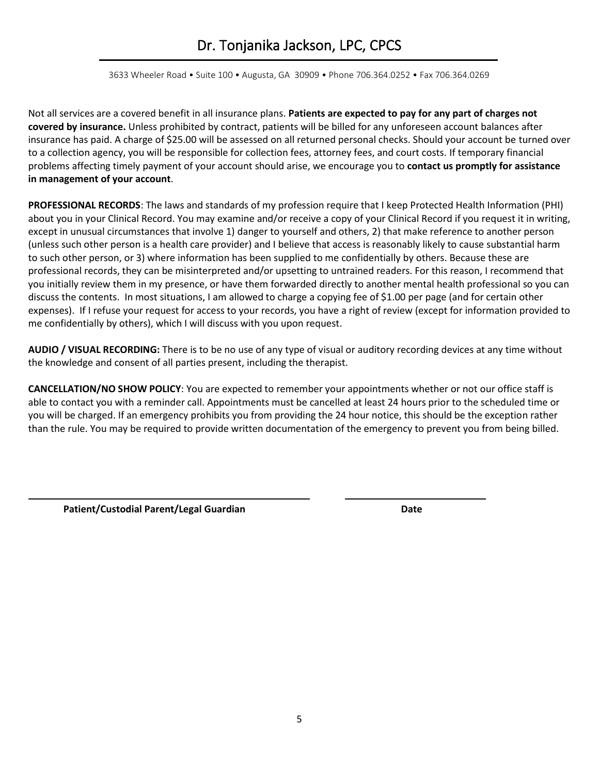3633 Wheeler Road • Suite 100 • Augusta, GA 30909 • Phone 706.364.0252 • Fax 706.364.0269

Not all services are a covered benefit in all insurance plans. **Patients are expected to pay for any part of charges not covered by insurance.** Unless prohibited by contract, patients will be billed for any unforeseen account balances after insurance has paid. A charge of \$25.00 will be assessed on all returned personal checks. Should your account be turned over to a collection agency, you will be responsible for collection fees, attorney fees, and court costs. If temporary financial problems affecting timely payment of your account should arise, we encourage you to **contact us promptly for assistance in management of your account**.

**PROFESSIONAL RECORDS**: The laws and standards of my profession require that I keep Protected Health Information (PHI) about you in your Clinical Record. You may examine and/or receive a copy of your Clinical Record if you request it in writing, except in unusual circumstances that involve 1) danger to yourself and others, 2) that make reference to another person (unless such other person is a health care provider) and I believe that access is reasonably likely to cause substantial harm to such other person, or 3) where information has been supplied to me confidentially by others. Because these are professional records, they can be misinterpreted and/or upsetting to untrained readers. For this reason, I recommend that you initially review them in my presence, or have them forwarded directly to another mental health professional so you can discuss the contents. In most situations, I am allowed to charge a copying fee of \$1.00 per page (and for certain other expenses). If I refuse your request for access to your records, you have a right of review (except for information provided to me confidentially by others), which I will discuss with you upon request.

**AUDIO / VISUAL RECORDING:** There is to be no use of any type of visual or auditory recording devices at any time without the knowledge and consent of all parties present, including the therapist.

**CANCELLATION/NO SHOW POLICY**: You are expected to remember your appointments whether or not our office staff is able to contact you with a reminder call. Appointments must be cancelled at least 24 hours prior to the scheduled time or you will be charged. If an emergency prohibits you from providing the 24 hour notice, this should be the exception rather than the rule. You may be required to provide written documentation of the emergency to prevent you from being billed.

Patient/Custodial Parent/Legal Guardian **Date**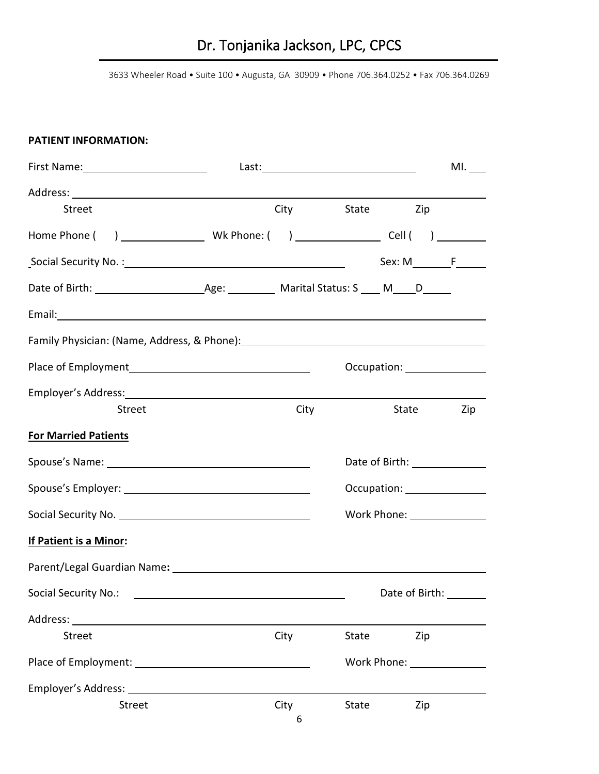3633 Wheeler Road • Suite 100 • Augusta, GA 30909 • Phone 706.364.0252 • Fax 706.364.0269

### **PATIENT INFORMATION:**

| First Name: 1990 and 1990 and 1990 and 1990 and 1990 and 1990 and 1990 and 1990 and 1990 and 1990 and 1990 and         |      |       |                               | $ML$ <sub>____</sub> |
|------------------------------------------------------------------------------------------------------------------------|------|-------|-------------------------------|----------------------|
|                                                                                                                        |      |       |                               |                      |
| <b>Street</b>                                                                                                          |      |       | City State Zip                |                      |
|                                                                                                                        |      |       |                               |                      |
|                                                                                                                        |      |       | $Sex: M \t F$                 |                      |
|                                                                                                                        |      |       |                               |                      |
| Email: <u>Alexander and Alexander and Alexander and Alexander and Alexander and Alexander and Alexander and Alex</u>   |      |       |                               |                      |
| Family Physician: (Name, Address, & Phone): [14] The Manuscript Control of Tamily Physician: (Name, Address, & Phone): |      |       |                               |                      |
|                                                                                                                        |      |       |                               |                      |
|                                                                                                                        |      |       |                               |                      |
| Street                                                                                                                 | City |       | State                         | Zip                  |
| <b>For Married Patients</b>                                                                                            |      |       |                               |                      |
|                                                                                                                        |      |       | Date of Birth: ______________ |                      |
|                                                                                                                        |      |       | Occupation: ________________  |                      |
|                                                                                                                        |      |       | Work Phone: _______________   |                      |
| If Patient is a Minor:                                                                                                 |      |       |                               |                      |
|                                                                                                                        |      |       |                               |                      |
| Social Security No.:                                                                                                   |      |       | Date of Birth:                |                      |
| Address:                                                                                                               |      |       |                               |                      |
| <b>Street</b>                                                                                                          | City | State | Zip                           |                      |
|                                                                                                                        |      |       |                               |                      |
| Employer's Address:                                                                                                    |      |       |                               |                      |
| Street                                                                                                                 | City | State | Zip                           |                      |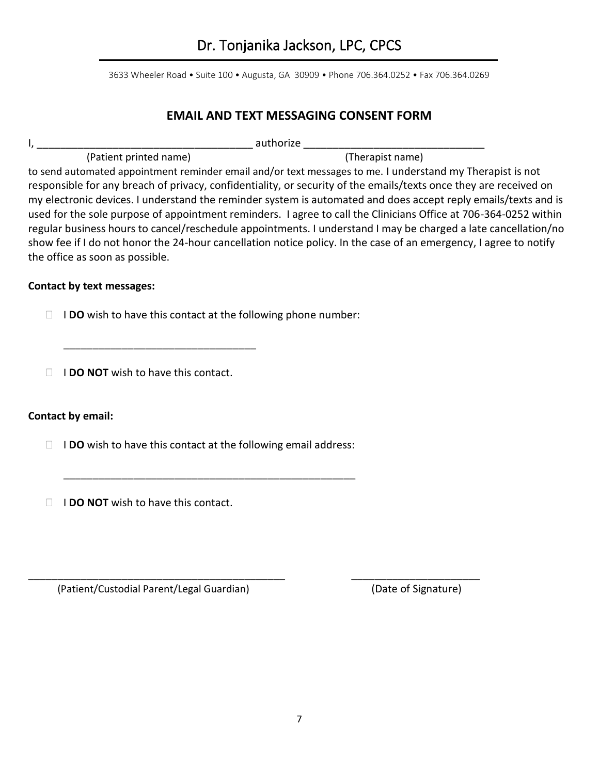### **EMAIL AND TEXT MESSAGING CONSENT FORM**

|                                 | authorize                                                                                                         |
|---------------------------------|-------------------------------------------------------------------------------------------------------------------|
| (Patient printed name)          | (Therapist name)                                                                                                  |
|                                 | to send automated appointment reminder email and/or text messages to me. I understand my Therapist is not         |
|                                 | responsible for any breach of privacy, confidentiality, or security of the emails/texts once they are received on |
|                                 | my electronic devices. I understand the reminder system is automated and does accept reply emails/texts and is    |
|                                 | used for the sole purpose of appointment reminders. I agree to call the Clinicians Office at 706-364-0252 within  |
|                                 | regular business hours to cancel/reschedule appointments. I understand I may be charged a late cancellation/no    |
|                                 | show fee if I do not honor the 24-hour cancellation notice policy. In the case of an emergency, I agree to notify |
| the office as soon as possible. |                                                                                                                   |

#### **Contact by text messages:**

I **DO** wish to have this contact at the following phone number:

**IDO NOT** wish to have this contact.

\_\_\_\_\_\_\_\_\_\_\_\_\_\_\_\_\_\_\_\_\_\_\_\_\_\_\_\_\_\_\_\_\_

### **Contact by email:**

I **DO** wish to have this contact at the following email address:

\_\_\_\_\_\_\_\_\_\_\_\_\_\_\_\_\_\_\_\_\_\_\_\_\_\_\_\_\_\_\_\_\_\_\_\_\_\_\_\_\_\_\_\_\_\_\_\_\_\_

\_\_\_\_\_\_\_\_\_\_\_\_\_\_\_\_\_\_\_\_\_\_\_\_\_\_\_\_\_\_\_\_\_\_\_\_\_\_\_\_\_\_\_\_ \_\_\_\_\_\_\_\_\_\_\_\_\_\_\_\_\_\_\_\_\_\_

**I I DO NOT** wish to have this contact.

(Patient/Custodial Parent/Legal Guardian) (Date of Signature)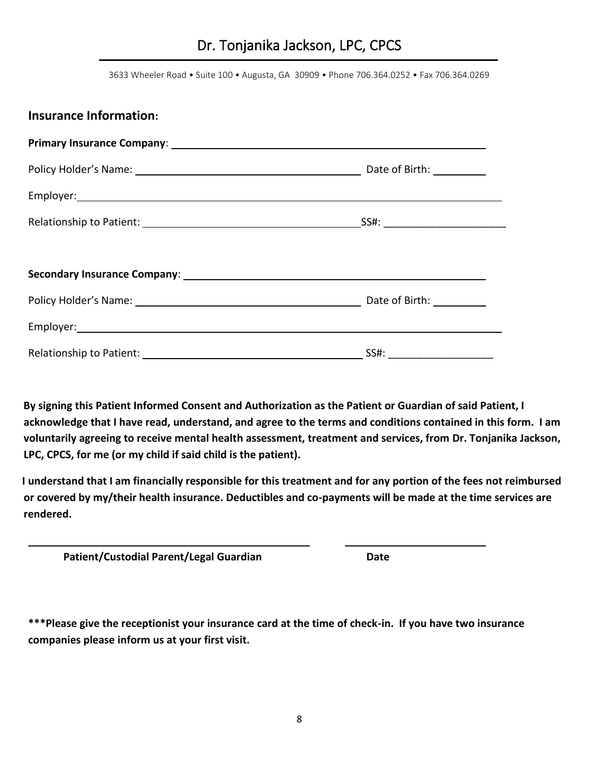3633 Wheeler Road • Suite 100 • Augusta, GA 30909 • Phone 706.364.0252 • Fax 706.364.0269

| <b>Insurance Information:</b> |  |
|-------------------------------|--|
|                               |  |
|                               |  |
|                               |  |
|                               |  |
|                               |  |
|                               |  |
|                               |  |
|                               |  |
|                               |  |

By signing this Patient Informed Consent and Authorization as the Patient or Guardian of said Patient, I **acknowledge that I have read, understand, and agree to the terms and conditions contained in this form. I am voluntarily agreeing to receive mental health assessment, treatment and services, from Dr. Tonjanika Jackson, LPC, CPCS, for me (or my child if said child is the patient).**

 **I understand that I am financially responsible for this treatment and for any portion of the fees not reimbursed or covered by my/their health insurance. Deductibles and co-payments will be made at the time services are rendered.**

Patient/Custodial Parent/Legal Guardian **Date Date** 

**\*\*\*Please give the receptionist your insurance card at the time of check-in. If you have two insurance companies please inform us at your first visit.**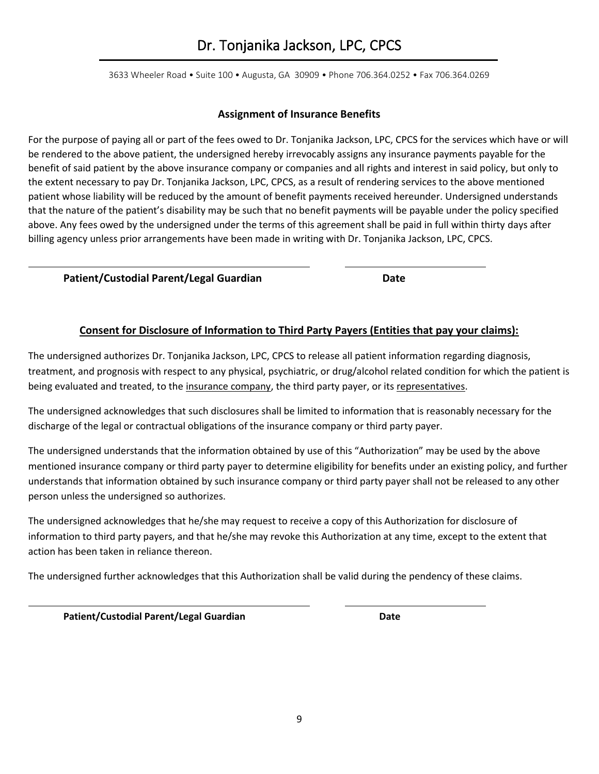3633 Wheeler Road • Suite 100 • Augusta, GA 30909 • Phone 706.364.0252 • Fax 706.364.0269

#### **Assignment of Insurance Benefits**

For the purpose of paying all or part of the fees owed to Dr. Tonjanika Jackson, LPC, CPCS for the services which have or will be rendered to the above patient, the undersigned hereby irrevocably assigns any insurance payments payable for the benefit of said patient by the above insurance company or companies and all rights and interest in said policy, but only to the extent necessary to pay Dr. Tonjanika Jackson, LPC, CPCS, as a result of rendering services to the above mentioned patient whose liability will be reduced by the amount of benefit payments received hereunder. Undersigned understands that the nature of the patient's disability may be such that no benefit payments will be payable under the policy specified above. Any fees owed by the undersigned under the terms of this agreement shall be paid in full within thirty days after billing agency unless prior arrangements have been made in writing with Dr. Tonjanika Jackson, LPC, CPCS.

#### Patient/Custodial Parent/Legal Guardian **Date**

#### **Consent for Disclosure of Information to Third Party Payers (Entities that pay your claims):**

The undersigned authorizes Dr. Tonjanika Jackson, LPC, CPCS to release all patient information regarding diagnosis, treatment, and prognosis with respect to any physical, psychiatric, or drug/alcohol related condition for which the patient is being evaluated and treated, to the insurance company, the third party payer, or its representatives.

The undersigned acknowledges that such disclosures shall be limited to information that is reasonably necessary for the discharge of the legal or contractual obligations of the insurance company or third party payer.

The undersigned understands that the information obtained by use of this "Authorization" may be used by the above mentioned insurance company or third party payer to determine eligibility for benefits under an existing policy, and further understands that information obtained by such insurance company or third party payer shall not be released to any other person unless the undersigned so authorizes.

The undersigned acknowledges that he/she may request to receive a copy of this Authorization for disclosure of information to third party payers, and that he/she may revoke this Authorization at any time, except to the extent that action has been taken in reliance thereon.

The undersigned further acknowledges that this Authorization shall be valid during the pendency of these claims.

Patient/Custodial Parent/Legal Guardian **Date**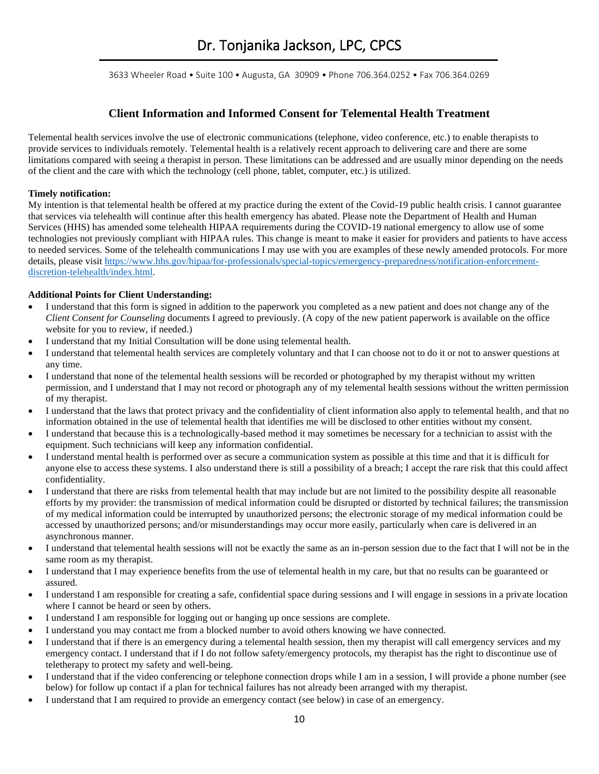#### **Client Information and Informed Consent for Telemental Health Treatment**

Telemental health services involve the use of electronic communications (telephone, video conference, etc.) to enable therapists to provide services to individuals remotely. Telemental health is a relatively recent approach to delivering care and there are some limitations compared with seeing a therapist in person. These limitations can be addressed and are usually minor depending on the needs of the client and the care with which the technology (cell phone, tablet, computer, etc.) is utilized.

#### **Timely notification:**

My intention is that telemental health be offered at my practice during the extent of the Covid-19 public health crisis. I cannot guarantee that services via telehealth will continue after this health emergency has abated. Please note the Department of Health and Human Services (HHS) has amended some telehealth HIPAA requirements during the COVID-19 national emergency to allow use of some technologies not previously compliant with HIPAA rules. This change is meant to make it easier for providers and patients to have access to needed services. Some of the telehealth communications I may use with you are examples of these newly amended protocols. For more details, please visit [https://www.hhs.gov/hipaa/for-professionals/special-topics/emergency-preparedness/notification-enforcement](about:blank)[discretion-telehealth/index.html.](about:blank)

#### **Additional Points for Client Understanding:**

- I understand that this form is signed in addition to the paperwork you completed as a new patient and does not change any of the *Client Consent for Counseling* documents I agreed to previously. (A copy of the new patient paperwork is available on the office website for you to review, if needed.)
- I understand that my Initial Consultation will be done using telemental health.
- I understand that telemental health services are completely voluntary and that I can choose not to do it or not to answer questions at any time.
- I understand that none of the telemental health sessions will be recorded or photographed by my therapist without my written permission, and I understand that I may not record or photograph any of my telemental health sessions without the written permission of my therapist.
- I understand that the laws that protect privacy and the confidentiality of client information also apply to telemental health, and that no information obtained in the use of telemental health that identifies me will be disclosed to other entities without my consent.
- I understand that because this is a technologically-based method it may sometimes be necessary for a technician to assist with the equipment. Such technicians will keep any information confidential.
- I understand mental health is performed over as secure a communication system as possible at this time and that it is difficult for anyone else to access these systems. I also understand there is still a possibility of a breach; I accept the rare risk that this could affect confidentiality.
- I understand that there are risks from telemental health that may include but are not limited to the possibility despite all reasonable efforts by my provider: the transmission of medical information could be disrupted or distorted by technical failures; the transmission of my medical information could be interrupted by unauthorized persons; the electronic storage of my medical information could be accessed by unauthorized persons; and/or misunderstandings may occur more easily, particularly when care is delivered in an asynchronous manner.
- I understand that telemental health sessions will not be exactly the same as an in-person session due to the fact that I will not be in the same room as my therapist.
- I understand that I may experience benefits from the use of telemental health in my care, but that no results can be guaranteed or assured.
- I understand I am responsible for creating a safe, confidential space during sessions and I will engage in sessions in a private location where I cannot be heard or seen by others.
- I understand I am responsible for logging out or hanging up once sessions are complete.
- I understand you may contact me from a blocked number to avoid others knowing we have connected.
- I understand that if there is an emergency during a telemental health session, then my therapist will call emergency services and my emergency contact. I understand that if I do not follow safety/emergency protocols, my therapist has the right to discontinue use of teletherapy to protect my safety and well-being.
- I understand that if the video conferencing or telephone connection drops while I am in a session, I will provide a phone number (see below) for follow up contact if a plan for technical failures has not already been arranged with my therapist.
- I understand that I am required to provide an emergency contact (see below) in case of an emergency.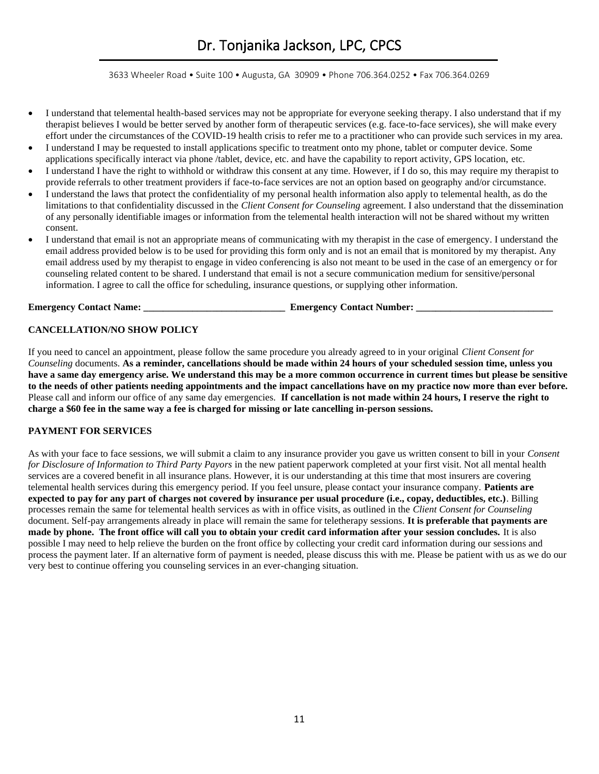3633 Wheeler Road • Suite 100 • Augusta, GA 30909 • Phone 706.364.0252 • Fax 706.364.0269

- I understand that telemental health-based services may not be appropriate for everyone seeking therapy. I also understand that if my therapist believes I would be better served by another form of therapeutic services (e.g. face-to-face services), she will make every effort under the circumstances of the COVID-19 health crisis to refer me to a practitioner who can provide such services in my area.
- I understand I may be requested to install applications specific to treatment onto my phone, tablet or computer device. Some applications specifically interact via phone /tablet, device, etc. and have the capability to report activity, GPS location, etc.
- I understand I have the right to withhold or withdraw this consent at any time. However, if I do so, this may require my therapist to provide referrals to other treatment providers if face-to-face services are not an option based on geography and/or circumstance.
- I understand the laws that protect the confidentiality of my personal health information also apply to telemental health, as do the limitations to that confidentiality discussed in the *Client Consent for Counseling* agreement. I also understand that the dissemination of any personally identifiable images or information from the telemental health interaction will not be shared without my written consent.
- I understand that email is not an appropriate means of communicating with my therapist in the case of emergency. I understand the email address provided below is to be used for providing this form only and is not an email that is monitored by my therapist. Any email address used by my therapist to engage in video conferencing is also not meant to be used in the case of an emergency or for counseling related content to be shared. I understand that email is not a secure communication medium for sensitive/personal information. I agree to call the office for scheduling, insurance questions, or supplying other information.

**Emergency Contact Name: \_\_\_\_\_\_\_\_\_\_\_\_\_\_\_\_\_\_\_\_\_\_\_\_\_\_\_\_\_ Emergency Contact Number: \_\_\_\_\_\_\_\_\_\_\_\_\_\_\_\_\_\_\_\_\_\_\_\_\_\_\_\_**

#### **CANCELLATION/NO SHOW POLICY**

If you need to cancel an appointment, please follow the same procedure you already agreed to in your original *Client Consent for Counseling* documents. **As a reminder, cancellations should be made within 24 hours of your scheduled session time, unless you have a same day emergency arise. We understand this may be a more common occurrence in current times but please be sensitive to the needs of other patients needing appointments and the impact cancellations have on my practice now more than ever before.**  Please call and inform our office of any same day emergencies. **If cancellation is not made within 24 hours, I reserve the right to charge a \$60 fee in the same way a fee is charged for missing or late cancelling in-person sessions.** 

#### **PAYMENT FOR SERVICES**

As with your face to face sessions, we will submit a claim to any insurance provider you gave us written consent to bill in your *Consent for Disclosure of Information to Third Party Payors* in the new patient paperwork completed at your first visit. Not all mental health services are a covered benefit in all insurance plans. However, it is our understanding at this time that most insurers are covering telemental health services during this emergency period. If you feel unsure, please contact your insurance company. **Patients are expected to pay for any part of charges not covered by insurance per usual procedure (i.e., copay, deductibles, etc.)**. Billing processes remain the same for telemental health services as with in office visits, as outlined in the *Client Consent for Counseling* document. Self-pay arrangements already in place will remain the same for teletherapy sessions. **It is preferable that payments are made by phone. The front office will call you to obtain your credit card information after your session concludes.** It is also possible I may need to help relieve the burden on the front office by collecting your credit card information during our sessions and process the payment later. If an alternative form of payment is needed, please discuss this with me. Please be patient with us as we do our very best to continue offering you counseling services in an ever-changing situation.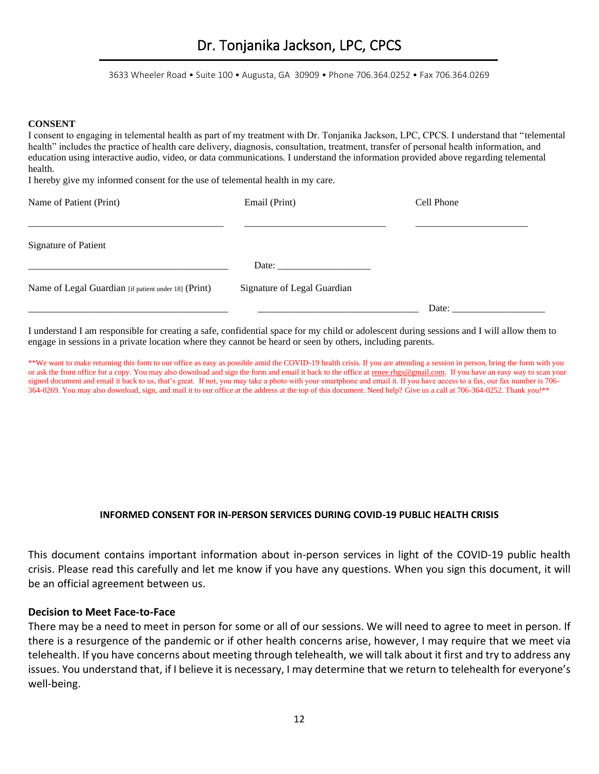3633 Wheeler Road • Suite 100 • Augusta, GA 30909 • Phone 706.364.0252 • Fax 706.364.0269

#### **CONSENT**

I consent to engaging in telemental health as part of my treatment with Dr. Tonjanika Jackson, LPC, CPCS. I understand that "telemental health" includes the practice of health care delivery, diagnosis, consultation, treatment, transfer of personal health information, and education using interactive audio, video, or data communications. I understand the information provided above regarding telemental health.

I hereby give my informed consent for the use of telemental health in my care.

| Name of Patient (Print)                              | Email (Print)                                                                                                                                                                                                                  | Cell Phone |  |
|------------------------------------------------------|--------------------------------------------------------------------------------------------------------------------------------------------------------------------------------------------------------------------------------|------------|--|
| Signature of Patient                                 |                                                                                                                                                                                                                                |            |  |
|                                                      | Date: the contract of the contract of the contract of the contract of the contract of the contract of the contract of the contract of the contract of the contract of the contract of the contract of the contract of the cont |            |  |
| Name of Legal Guardian [if patient under 18] (Print) | Signature of Legal Guardian                                                                                                                                                                                                    |            |  |
|                                                      |                                                                                                                                                                                                                                | Date:      |  |

I understand I am responsible for creating a safe, confidential space for my child or adolescent during sessions and I will allow them to engage in sessions in a private location where they cannot be heard or seen by others, including parents.

\*\*We want to make returning this form to our office as easy as possible amid the COVID-19 health crisis. If you are attending a session in person, bring the form with you or ask the front office for a copy. You may also download and sign the form and email it back to the office at [renee.rbgs@gmail.com.](about:blank) If you have an easy way to scan your signed document and email it back to us, that's great. If not, you may take a photo with your smartphone and email it. If you have access to a fax, our fax number is 706- 364-0269. You may also download, sign, and mail it to our office at the address at the top of this document. Need help? Give us a call at 706-364-0252. Thank you!\*\*

#### **INFORMED CONSENT FOR IN-PERSON SERVICES DURING COVID-19 PUBLIC HEALTH CRISIS**

This document contains important information about in-person services in light of the COVID-19 public health crisis. Please read this carefully and let me know if you have any questions. When you sign this document, it will be an official agreement between us.

#### **Decision to Meet Face-to-Face**

There may be a need to meet in person for some or all of our sessions. We will need to agree to meet in person. If there is a resurgence of the pandemic or if other health concerns arise, however, I may require that we meet via telehealth. If you have concerns about meeting through telehealth, we will talk about it first and try to address any issues. You understand that, if I believe it is necessary, I may determine that we return to telehealth for everyone's well-being.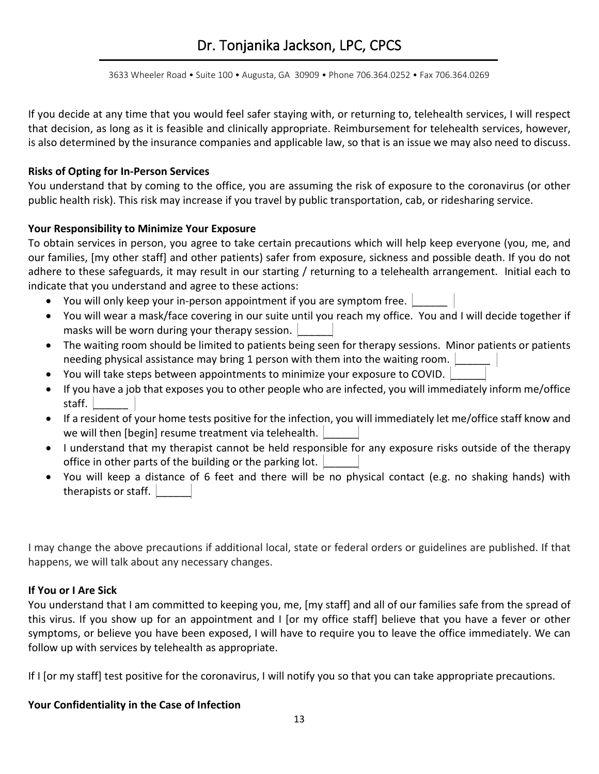3633 Wheeler Road • Suite 100 • Augusta, GA 30909 • Phone 706.364.0252 • Fax 706.364.0269

If you decide at any time that you would feel safer staying with, or returning to, telehealth services, I will respect that decision, as long as it is feasible and clinically appropriate. Reimbursement for telehealth services, however, is also determined by the insurance companies and applicable law, so that is an issue we may also need to discuss.

#### **Risks of Opting for In-Person Services**

You understand that by coming to the office, you are assuming the risk of exposure to the coronavirus (or other public health risk). This risk may increase if you travel by public transportation, cab, or ridesharing service.

#### **Your Responsibility to Minimize Your Exposure**

To obtain services in person, you agree to take certain precautions which will help keep everyone (you, me, and our families, [my other staff] and other patients) safer from exposure, sickness and possible death. If you do not adhere to these safeguards, it may result in our starting / returning to a telehealth arrangement. Initial each to indicate that you understand and agree to these actions:

- You will only keep your in-person appointment if you are symptom free.
- You will wear a mask/face covering in our suite until you reach my office. You and I will decide together if masks will be worn during your therapy session.
- The waiting room should be limited to patients being seen for therapy sessions. Minor patients or patients needing physical assistance may bring 1 person with them into the waiting room.
- You will take steps between appointments to minimize your exposure to COVID.
- If you have a job that exposes you to other people who are infected, you will immediately inform me/office staff.
- If a resident of your home tests positive for the infection, you will immediately let me/office staff know and we will then [begin] resume treatment via telehealth.
- I understand that my therapist cannot be held responsible for any exposure risks outside of the therapy office in other parts of the building or the parking lot.
- You will keep a distance of 6 feet and there will be no physical contact (e.g. no shaking hands) with therapists or staff.

I may change the above precautions if additional local, state or federal orders or guidelines are published. If that happens, we will talk about any necessary changes.

#### **If You or I Are Sick**

You understand that I am committed to keeping you, me, [my staff] and all of our families safe from the spread of this virus. If you show up for an appointment and I [or my office staff] believe that you have a fever or other symptoms, or believe you have been exposed, I will have to require you to leave the office immediately. We can follow up with services by telehealth as appropriate.

If I [or my staff] test positive for the coronavirus, I will notify you so that you can take appropriate precautions.

### **Your Confidentiality in the Case of Infection**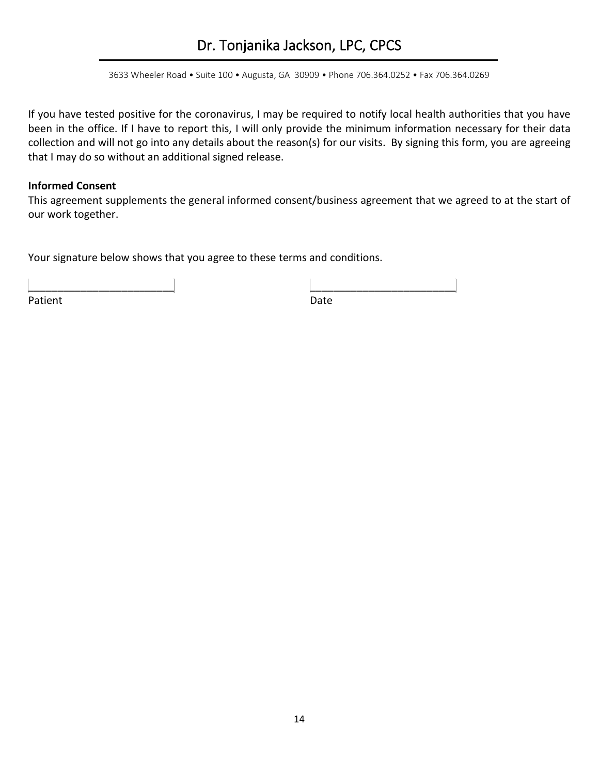3633 Wheeler Road • Suite 100 • Augusta, GA 30909 • Phone 706.364.0252 • Fax 706.364.0269

If you have tested positive for the coronavirus, I may be required to notify local health authorities that you have been in the office. If I have to report this, I will only provide the minimum information necessary for their data collection and will not go into any details about the reason(s) for our visits. By signing this form, you are agreeing that I may do so without an additional signed release.

#### **Informed Consent**

This agreement supplements the general informed consent/business agreement that we agreed to at the start of our work together.

Your signature below shows that you agree to these terms and conditions.

Patient Date Date

\_\_\_\_\_\_\_\_\_\_\_\_\_\_\_\_\_\_\_\_\_\_\_\_\_ \_\_\_\_\_\_\_\_\_\_\_\_\_\_\_\_\_\_\_\_\_\_\_\_\_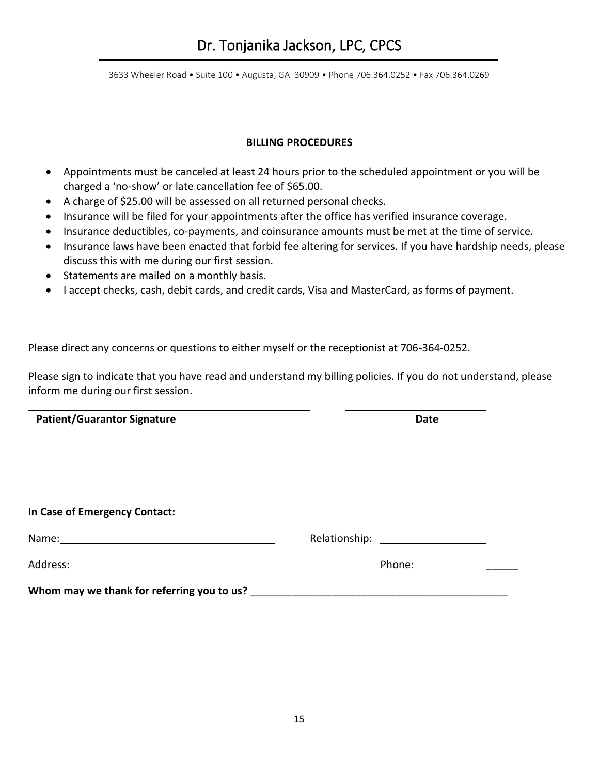#### **BILLING PROCEDURES**

- Appointments must be canceled at least 24 hours prior to the scheduled appointment or you will be charged a 'no-show' or late cancellation fee of \$65.00.
- A charge of \$25.00 will be assessed on all returned personal checks.
- Insurance will be filed for your appointments after the office has verified insurance coverage.
- Insurance deductibles, co-payments, and coinsurance amounts must be met at the time of service.
- Insurance laws have been enacted that forbid fee altering for services. If you have hardship needs, please discuss this with me during our first session.
- Statements are mailed on a monthly basis.
- I accept checks, cash, debit cards, and credit cards, Visa and MasterCard, as forms of payment.

Please direct any concerns or questions to either myself or the receptionist at 706-364-0252.

Please sign to indicate that you have read and understand my billing policies. If you do not understand, please inform me during our first session.

**Patient/Guarantor Signature Date** 

**In Case of Emergency Contact:** 

| Name:                                      | Relationship: The contract of the contract of the contract of the contract of the contract of the contract of the contract of the contract of the contract of the contract of the contract of the contract of the contract of  |  |
|--------------------------------------------|--------------------------------------------------------------------------------------------------------------------------------------------------------------------------------------------------------------------------------|--|
|                                            | Phone: the contract of the contract of the contract of the contract of the contract of the contract of the contract of the contract of the contract of the contract of the contract of the contract of the contract of the con |  |
| Whom may we thank for referring you to us? |                                                                                                                                                                                                                                |  |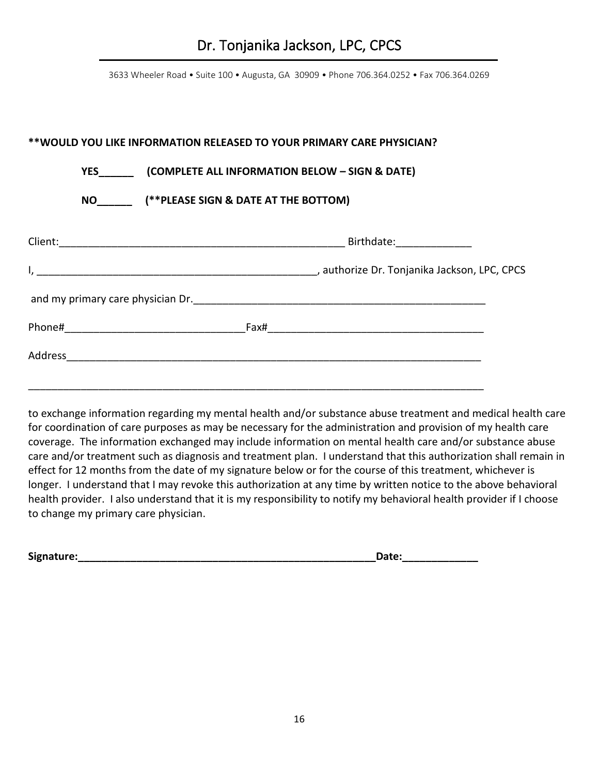### **\*\*WOULD YOU LIKE INFORMATION RELEASED TO YOUR PRIMARY CARE PHYSICIAN?**

### **YES\_\_\_\_\_\_ (COMPLETE ALL INFORMATION BELOW – SIGN & DATE)**

 **NO\_\_\_\_\_\_ (\*\*PLEASE SIGN & DATE AT THE BOTTOM)**

|  | Birthdate: 2008 |
|--|-----------------|
|  |                 |
|  |                 |
|  |                 |
|  |                 |
|  |                 |

to exchange information regarding my mental health and/or substance abuse treatment and medical health care for coordination of care purposes as may be necessary for the administration and provision of my health care coverage. The information exchanged may include information on mental health care and/or substance abuse care and/or treatment such as diagnosis and treatment plan. I understand that this authorization shall remain in effect for 12 months from the date of my signature below or for the course of this treatment, whichever is longer. I understand that I may revoke this authorization at any time by written notice to the above behavioral health provider. I also understand that it is my responsibility to notify my behavioral health provider if I choose to change my primary care physician.

**Signature:\_\_\_\_\_\_\_\_\_\_\_\_\_\_\_\_\_\_\_\_\_\_\_\_\_\_\_\_\_\_\_\_\_\_\_\_\_\_\_\_\_\_\_\_\_\_\_\_\_\_\_Date:\_\_\_\_\_\_\_\_\_\_\_\_\_**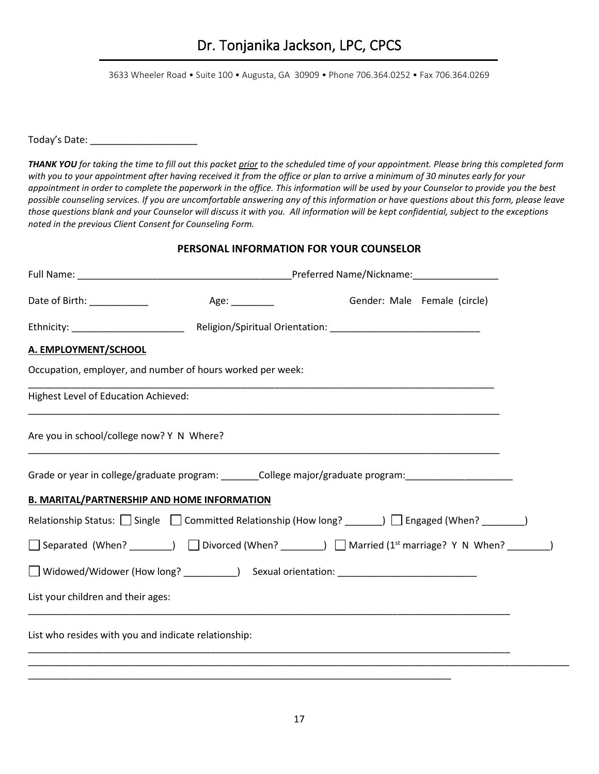Today's Date: \_\_\_\_\_\_\_\_\_\_\_\_\_\_\_\_\_\_\_\_

*THANK YOU for taking the time to fill out this packet prior to the scheduled time of your appointment. Please bring this completed form with you to your appointment after having received it from the office or plan to arrive a minimum of 30 minutes early for your appointment in order to complete the paperwork in the office. This information will be used by your Counselor to provide you the best possible counseling services. If you are uncomfortable answering any of this information or have questions about this form, please leave those questions blank and your Counselor will discuss it with you. All information will be kept confidential, subject to the exceptions noted in the previous Client Consent for Counseling Form.* 

### **PERSONAL INFORMATION FOR YOUR COUNSELOR**

|                                                                                                                   |  | Gender: Male Female (circle) |  |
|-------------------------------------------------------------------------------------------------------------------|--|------------------------------|--|
|                                                                                                                   |  |                              |  |
| A. EMPLOYMENT/SCHOOL                                                                                              |  |                              |  |
| Occupation, employer, and number of hours worked per week:                                                        |  |                              |  |
| Highest Level of Education Achieved:                                                                              |  |                              |  |
| Are you in school/college now? Y N Where?                                                                         |  |                              |  |
| Grade or year in college/graduate program: _________College major/graduate program: __________________________    |  |                              |  |
| <b>B. MARITAL/PARTNERSHIP AND HOME INFORMATION</b>                                                                |  |                              |  |
| Relationship Status: $\Box$ Single $\Box$ Committed Relationship (How long? ______) $\Box$ Engaged (When? ______) |  |                              |  |
| □ Separated (When? ________) □ Divorced (When? ________) □ Married (1 <sup>st</sup> marriage? Y N When? _______)  |  |                              |  |
|                                                                                                                   |  |                              |  |
| List your children and their ages:                                                                                |  |                              |  |
| List who resides with you and indicate relationship:                                                              |  |                              |  |
|                                                                                                                   |  |                              |  |

\_\_\_\_\_\_\_\_\_\_\_\_\_\_\_\_\_\_\_\_\_\_\_\_\_\_\_\_\_\_\_\_\_\_\_\_\_\_\_\_\_\_\_\_\_\_\_\_\_\_\_\_\_\_\_\_\_\_\_\_\_\_\_\_\_\_\_\_\_\_\_\_\_\_\_\_\_\_\_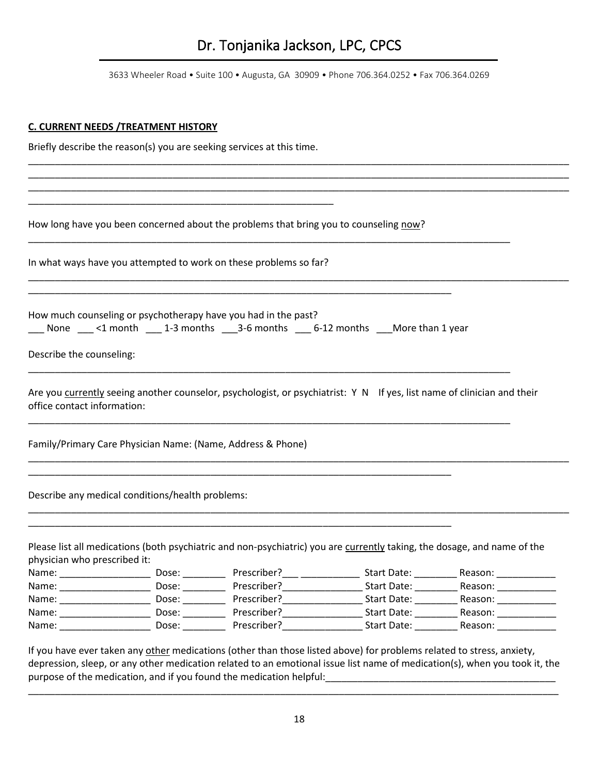3633 Wheeler Road • Suite 100 • Augusta, GA 30909 • Phone 706.364.0252 • Fax 706.364.0269

\_\_\_\_\_\_\_\_\_\_\_\_\_\_\_\_\_\_\_\_\_\_\_\_\_\_\_\_\_\_\_\_\_\_\_\_\_\_\_\_\_\_\_\_\_\_\_\_\_\_\_\_\_\_\_\_\_\_\_\_\_\_\_\_\_\_\_\_\_\_\_\_\_\_\_\_\_\_\_\_\_\_\_\_\_\_\_\_\_\_\_\_\_\_\_\_\_\_\_\_\_ \_\_\_\_\_\_\_\_\_\_\_\_\_\_\_\_\_\_\_\_\_\_\_\_\_\_\_\_\_\_\_\_\_\_\_\_\_\_\_\_\_\_\_\_\_\_\_\_\_\_\_\_\_\_\_\_\_\_\_\_\_\_\_\_\_\_\_\_\_\_\_\_\_\_\_\_\_\_\_\_\_\_\_\_\_\_\_\_\_\_\_\_\_\_\_\_\_\_\_\_\_ \_\_\_\_\_\_\_\_\_\_\_\_\_\_\_\_\_\_\_\_\_\_\_\_\_\_\_\_\_\_\_\_\_\_\_\_\_\_\_\_\_\_\_\_\_\_\_\_\_\_\_\_\_\_\_\_\_\_\_\_\_\_\_\_\_\_\_\_\_\_\_\_\_\_\_\_\_\_\_\_\_\_\_\_\_\_\_\_\_\_\_\_\_\_\_\_\_\_\_\_\_

\_\_\_\_\_\_\_\_\_\_\_\_\_\_\_\_\_\_\_\_\_\_\_\_\_\_\_\_\_\_\_\_\_\_\_\_\_\_\_\_\_\_\_\_\_\_\_\_\_\_\_\_\_\_\_\_\_\_\_\_\_\_\_\_\_\_\_\_\_\_\_\_\_\_\_\_\_\_\_\_\_\_\_\_\_\_\_\_\_\_\_\_\_\_\_\_\_\_\_\_\_

#### **C. CURRENT NEEDS /TREATMENT HISTORY**

Briefly describe the reason(s) you are seeking services at this time.

How long have you been concerned about the problems that bring you to counseling now?

In what ways have you attempted to work on these problems so far?

\_\_\_\_\_\_\_\_\_\_\_\_\_\_\_\_\_\_\_\_\_\_\_\_\_\_\_\_\_\_\_\_\_\_\_\_\_\_\_\_\_\_\_\_\_\_\_\_\_\_\_\_\_\_\_\_\_

How much counseling or psychotherapy have you had in the past?  $\frac{1}{2}$  None  $\frac{1}{2}$  <1 month  $\frac{1}{2}$  1-3 months  $\frac{1}{2}$  3-6 months  $\frac{1}{2}$  months  $\frac{1}{2}$  More than 1 year

\_\_\_\_\_\_\_\_\_\_\_\_\_\_\_\_\_\_\_\_\_\_\_\_\_\_\_\_\_\_\_\_\_\_\_\_\_\_\_\_\_\_\_\_\_\_\_\_\_\_\_\_\_\_\_\_\_\_\_\_\_\_\_\_\_\_\_\_\_\_\_\_\_\_\_\_\_\_\_

\_\_\_\_\_\_\_\_\_\_\_\_\_\_\_\_\_\_\_\_\_\_\_\_\_\_\_\_\_\_\_\_\_\_\_\_\_\_\_\_\_\_\_\_\_\_\_\_\_\_\_\_\_\_\_\_\_\_\_\_\_\_\_\_\_\_\_\_\_\_\_\_\_\_\_\_\_\_\_

\_\_\_\_\_\_\_\_\_\_\_\_\_\_\_\_\_\_\_\_\_\_\_\_\_\_\_\_\_\_\_\_\_\_\_\_\_\_\_\_\_\_\_\_\_\_\_\_\_\_\_\_\_\_\_\_\_\_\_\_\_\_\_\_\_\_\_\_\_\_\_\_\_\_\_\_\_\_\_

\_\_\_\_\_\_\_\_\_\_\_\_\_\_\_\_\_\_\_\_\_\_\_\_\_\_\_\_\_\_\_\_\_\_\_\_\_\_\_\_\_\_\_\_\_\_\_\_\_\_\_\_\_\_\_\_\_\_\_\_\_\_\_\_\_\_\_\_\_\_\_\_\_\_\_\_\_\_\_\_\_\_\_\_\_\_\_\_\_\_

Describe the counseling:

Are you currently seeing another counselor, psychologist, or psychiatrist: Y N If yes, list name of clinician and their office contact information:

\_\_\_\_\_\_\_\_\_\_\_\_\_\_\_\_\_\_\_\_\_\_\_\_\_\_\_\_\_\_\_\_\_\_\_\_\_\_\_\_\_\_\_\_\_\_\_\_\_\_\_\_\_\_\_\_\_\_\_\_\_\_\_\_\_\_\_\_\_\_\_\_\_\_\_\_\_\_\_\_\_\_\_\_\_\_\_\_\_\_\_\_\_\_\_\_\_\_\_\_\_

\_\_\_\_\_\_\_\_\_\_\_\_\_\_\_\_\_\_\_\_\_\_\_\_\_\_\_\_\_\_\_\_\_\_\_\_\_\_\_\_\_\_\_\_\_\_\_\_\_\_\_\_\_\_\_\_\_\_\_\_\_\_\_\_\_\_\_\_\_\_\_\_\_\_\_\_\_\_\_\_\_\_\_\_\_\_\_\_\_\_\_\_\_\_\_\_\_\_\_\_\_

\_\_\_\_\_\_\_\_\_\_\_\_\_\_\_\_\_\_\_\_\_\_\_\_\_\_\_\_\_\_\_\_\_\_\_\_\_\_\_\_\_\_\_\_\_\_\_\_\_\_\_\_\_\_\_\_\_\_\_\_\_\_\_\_\_\_\_\_\_\_\_\_\_\_\_\_\_\_\_\_\_\_\_\_\_\_\_\_\_\_

\_\_\_\_\_\_\_\_\_\_\_\_\_\_\_\_\_\_\_\_\_\_\_\_\_\_\_\_\_\_\_\_\_\_\_\_\_\_\_\_\_\_\_\_\_\_\_\_\_\_\_\_\_\_\_\_\_\_\_\_\_\_\_\_\_\_\_\_\_\_\_\_\_\_\_\_\_\_\_\_\_\_\_\_\_\_\_\_\_\_

Family/Primary Care Physician Name: (Name, Address & Phone)

Describe any medical conditions/health problems:

| physician who prescribed it: |       | Please list all medications (both psychiatric and non-psychiatric) you are currently taking, the dosage, and name of the |             |         |
|------------------------------|-------|--------------------------------------------------------------------------------------------------------------------------|-------------|---------|
| Name:                        | Dose: | Prescriber?                                                                                                              | Start Date: | Reason: |
| Name:                        | Dose: | Prescriber?                                                                                                              | Start Date: | Reason: |
| Name:                        | Dose: | Prescriber?                                                                                                              | Start Date: | Reason: |
| Name:                        | Dose: | Prescriber?                                                                                                              | Start Date: | Reason: |
| Name:                        | Dose: | Prescriber?                                                                                                              | Start Date: | Reason: |

If you have ever taken any other medications (other than those listed above) for problems related to stress, anxiety, depression, sleep, or any other medication related to an emotional issue list name of medication(s), when you took it, the purpose of the medication, and if you found the medication helpful:\_\_\_\_\_\_\_\_\_\_\_\_\_\_\_\_\_\_\_\_\_\_\_\_\_\_\_\_\_\_\_\_\_\_\_\_\_\_\_\_\_\_\_

\_\_\_\_\_\_\_\_\_\_\_\_\_\_\_\_\_\_\_\_\_\_\_\_\_\_\_\_\_\_\_\_\_\_\_\_\_\_\_\_\_\_\_\_\_\_\_\_\_\_\_\_\_\_\_\_\_\_\_\_\_\_\_\_\_\_\_\_\_\_\_\_\_\_\_\_\_\_\_\_\_\_\_\_\_\_\_\_\_\_\_\_\_\_\_\_\_\_\_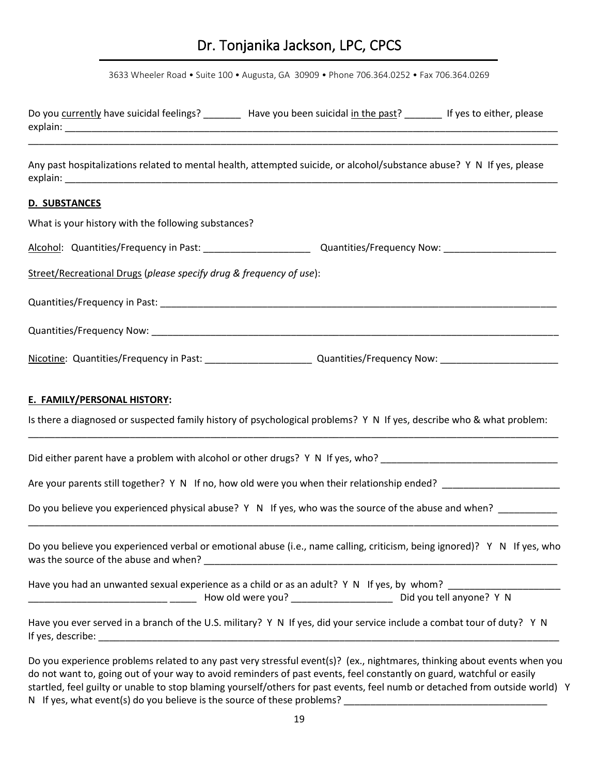3633 Wheeler Road • Suite 100 • Augusta, GA 30909 • Phone 706.364.0252 • Fax 706.364.0269

| Do you currently have suicidal feelings?<br>explain:                                                                              | Have you been suicidal in the past? | If yes to either, please |
|-----------------------------------------------------------------------------------------------------------------------------------|-------------------------------------|--------------------------|
|                                                                                                                                   |                                     |                          |
| Any past hospitalizations related to mental health, attempted suicide, or alcohol/substance abuse? Y N If yes, please<br>explain: |                                     |                          |
| <b>D. SUBSTANCES</b>                                                                                                              |                                     |                          |

| What is your history with the following substances?                 |                                                                                                                           |
|---------------------------------------------------------------------|---------------------------------------------------------------------------------------------------------------------------|
|                                                                     |                                                                                                                           |
| Street/Recreational Drugs (please specify drug & frequency of use): |                                                                                                                           |
|                                                                     |                                                                                                                           |
|                                                                     |                                                                                                                           |
|                                                                     |                                                                                                                           |
| E. FAMILY/PERSONAL HISTORY:                                         | Is there a diagnosed or suspected family history of psychological problems? Y N If yes, describe who & what problem:      |
|                                                                     | Did either parent have a problem with alcohol or other drugs? Y N If yes, who? _______________________________            |
|                                                                     | Are your parents still together? Y N If no, how old were you when their relationship ended? ___________________           |
|                                                                     | Do you believe you experienced physical abuse? Y N If yes, who was the source of the abuse and when? ________             |
|                                                                     | Do you believe you experienced verbal or emotional abuse (i.e., name calling, criticism, being ignored)? Y N If yes, who  |
|                                                                     | Have you had an unwanted sexual experience as a child or as an adult? Y N If yes, by whom? ___________________            |
|                                                                     | Have you ever served in a branch of the U.S. military? Y N If yes, did your service include a combat tour of duty? Y N    |
|                                                                     | De vou experience probleme related to any nest very stressful example 12 (ex. picktmares, thinking about example when you |

Do you experience problems related to any past very stressful event(s)? (ex., nightmares, thinking about events when you do not want to, going out of your way to avoid reminders of past events, feel constantly on guard, watchful or easily startled, feel guilty or unable to stop blaming yourself/others for past events, feel numb or detached from outside world) Y N If yes, what event(s) do you believe is the source of these problems? \_\_\_\_\_\_\_\_\_\_\_\_\_\_\_\_\_\_\_\_\_\_\_\_\_\_\_\_\_\_\_\_\_\_\_\_\_\_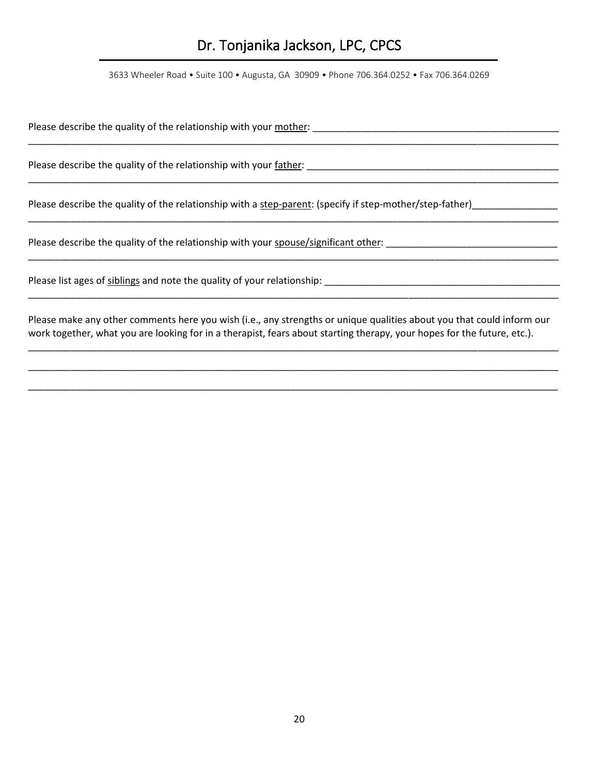3633 Wheeler Road • Suite 100 • Augusta, GA 30909 • Phone 706.364.0252 • Fax 706.364.0269

\_\_\_\_\_\_\_\_\_\_\_\_\_\_\_\_\_\_\_\_\_\_\_\_\_\_\_\_\_\_\_\_\_\_\_\_\_\_\_\_\_\_\_\_\_\_\_\_\_\_\_\_\_\_\_\_\_\_\_\_\_\_\_\_\_\_\_\_\_\_\_\_\_\_\_\_\_\_\_\_\_\_\_\_\_\_\_\_\_\_\_\_\_\_\_\_\_\_\_

\_\_\_\_\_\_\_\_\_\_\_\_\_\_\_\_\_\_\_\_\_\_\_\_\_\_\_\_\_\_\_\_\_\_\_\_\_\_\_\_\_\_\_\_\_\_\_\_\_\_\_\_\_\_\_\_\_\_\_\_\_\_\_\_\_\_\_\_\_\_\_\_\_\_\_\_\_\_\_\_\_\_\_\_\_\_\_\_\_\_\_\_\_\_\_\_\_\_\_

\_\_\_\_\_\_\_\_\_\_\_\_\_\_\_\_\_\_\_\_\_\_\_\_\_\_\_\_\_\_\_\_\_\_\_\_\_\_\_\_\_\_\_\_\_\_\_\_\_\_\_\_\_\_\_\_\_\_\_\_\_\_\_\_\_\_\_\_\_\_\_\_\_\_\_\_\_\_\_\_\_\_\_\_\_\_\_\_\_\_\_\_\_\_\_\_\_\_\_

Please describe the quality of the relationship with your mother:

Please describe the quality of the relationship with your father: \_\_\_\_\_\_\_\_\_\_\_\_\_\_\_\_\_\_\_\_\_\_\_\_\_\_\_\_\_\_\_\_\_\_\_\_\_\_\_\_\_\_\_\_\_\_\_

Please describe the quality of the relationship with a step-parent: (specify if step-mother/step-father)\_\_\_\_\_\_\_\_\_\_\_\_\_

Please describe the quality of the relationship with your spouse/significant other:

Please list ages of siblings and note the quality of your relationship:

Please make any other comments here you wish (i.e., any strengths or unique qualities about you that could inform our work together, what you are looking for in a therapist, fears about starting therapy, your hopes for the future, etc.).

\_\_\_\_\_\_\_\_\_\_\_\_\_\_\_\_\_\_\_\_\_\_\_\_\_\_\_\_\_\_\_\_\_\_\_\_\_\_\_\_\_\_\_\_\_\_\_\_\_\_\_\_\_\_\_\_\_\_\_\_\_\_\_\_\_\_\_\_\_\_\_\_\_\_\_\_\_\_\_\_\_\_\_\_\_\_\_\_\_\_\_\_\_\_\_\_\_\_\_

\_\_\_\_\_\_\_\_\_\_\_\_\_\_\_\_\_\_\_\_\_\_\_\_\_\_\_\_\_\_\_\_\_\_\_\_\_\_\_\_\_\_\_\_\_\_\_\_\_\_\_\_\_\_\_\_\_\_\_\_\_\_\_\_\_\_\_\_\_\_\_\_\_\_\_\_\_\_\_\_\_\_\_\_\_\_\_\_\_\_\_\_\_\_\_\_\_\_\_

\_\_\_\_\_\_\_\_\_\_\_\_\_\_\_\_\_\_\_\_\_\_\_\_\_\_\_\_\_\_\_\_\_\_\_\_\_\_\_\_\_\_\_\_\_\_\_\_\_\_\_\_\_\_\_\_\_\_\_\_\_\_\_\_\_\_\_\_\_\_\_\_\_\_\_\_\_\_\_\_\_\_\_\_\_\_\_\_\_\_\_\_\_\_\_\_\_\_\_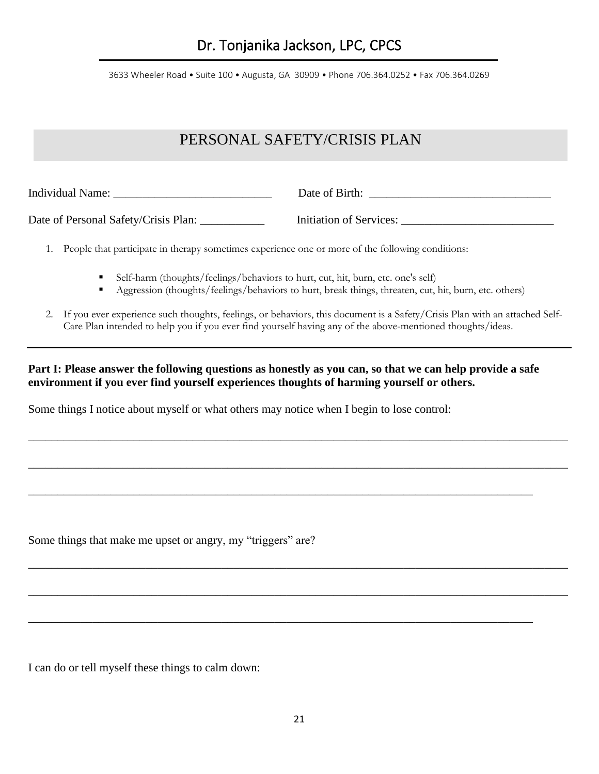### PERSONAL SAFETY/CRISIS PLAN

Individual Name: \_\_\_\_\_\_\_\_\_\_\_\_\_\_\_\_\_\_\_\_\_\_\_\_\_\_\_ Date of Birth: \_\_\_\_\_\_\_\_\_\_\_\_\_\_\_\_\_\_\_\_\_\_\_\_\_\_\_\_\_\_\_

Date of Personal Safety/Crisis Plan: \_\_\_\_\_\_\_\_\_\_\_\_\_\_\_ Initiation of Services: \_\_\_\_\_\_\_\_\_\_\_\_\_\_\_\_\_\_\_\_\_\_\_\_\_\_\_\_\_\_\_\_\_

1. People that participate in therapy sometimes experience one or more of the following conditions:

- Self-harm (thoughts/feelings/behaviors to hurt, cut, hit, burn, etc. one's self)
- Aggression (thoughts/feelings/behaviors to hurt, break things, threaten, cut, hit, burn, etc. others)
- 2. If you ever experience such thoughts, feelings, or behaviors, this document is a Safety/Crisis Plan with an attached Self-Care Plan intended to help you if you ever find yourself having any of the above-mentioned thoughts/ideas.

### **Part I: Please answer the following questions as honestly as you can, so that we can help provide a safe environment if you ever find yourself experiences thoughts of harming yourself or others.**

\_\_\_\_\_\_\_\_\_\_\_\_\_\_\_\_\_\_\_\_\_\_\_\_\_\_\_\_\_\_\_\_\_\_\_\_\_\_\_\_\_\_\_\_\_\_\_\_\_\_\_\_\_\_\_\_\_\_\_\_\_\_\_\_\_\_\_\_\_\_\_\_\_\_\_\_\_\_\_\_\_\_\_\_\_\_\_\_\_\_\_\_

\_\_\_\_\_\_\_\_\_\_\_\_\_\_\_\_\_\_\_\_\_\_\_\_\_\_\_\_\_\_\_\_\_\_\_\_\_\_\_\_\_\_\_\_\_\_\_\_\_\_\_\_\_\_\_\_\_\_\_\_\_\_\_\_\_\_\_\_\_\_\_\_\_\_\_\_\_\_\_\_\_\_\_\_\_\_\_\_\_\_\_\_

\_\_\_\_\_\_\_\_\_\_\_\_\_\_\_\_\_\_\_\_\_\_\_\_\_\_\_\_\_\_\_\_\_\_\_\_\_\_\_\_\_\_\_\_\_\_\_\_\_\_\_\_\_\_\_\_\_\_\_\_\_\_\_\_\_\_\_\_\_\_\_\_\_\_\_\_\_\_\_\_\_\_\_\_\_\_\_\_\_\_\_\_

\_\_\_\_\_\_\_\_\_\_\_\_\_\_\_\_\_\_\_\_\_\_\_\_\_\_\_\_\_\_\_\_\_\_\_\_\_\_\_\_\_\_\_\_\_\_\_\_\_\_\_\_\_\_\_\_\_\_\_\_\_\_\_\_\_\_\_\_\_\_\_\_\_\_\_\_\_\_\_\_\_\_\_\_\_\_\_\_\_\_\_\_

\_\_\_\_\_\_\_\_\_\_\_\_\_\_\_\_\_\_\_\_\_\_\_\_\_\_\_\_\_\_\_\_\_\_\_\_\_\_\_\_\_\_\_\_\_\_\_\_\_\_\_\_\_\_\_\_\_\_\_\_\_\_\_\_\_\_\_\_\_\_\_\_\_\_\_\_\_\_\_\_\_\_\_\_\_\_

\_\_\_\_\_\_\_\_\_\_\_\_\_\_\_\_\_\_\_\_\_\_\_\_\_\_\_\_\_\_\_\_\_\_\_\_\_\_\_\_\_\_\_\_\_\_\_\_\_\_\_\_\_\_\_\_\_\_\_\_\_\_\_\_\_\_\_\_\_\_\_\_\_\_\_\_\_\_\_\_\_\_\_\_\_\_

Some things I notice about myself or what others may notice when I begin to lose control:

Some things that make me upset or angry, my "triggers" are?

I can do or tell myself these things to calm down: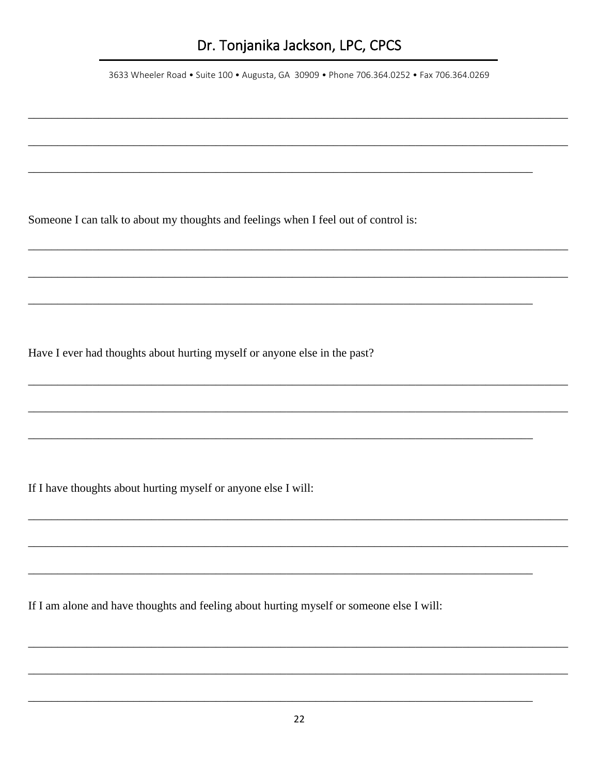3633 Wheeler Road • Suite 100 • Augusta, GA 30909 • Phone 706.364.0252 • Fax 706.364.0269

Someone I can talk to about my thoughts and feelings when I feel out of control is:

Have I ever had thoughts about hurting myself or anyone else in the past?

If I have thoughts about hurting myself or anyone else I will:

If I am alone and have thoughts and feeling about hurting myself or someone else I will: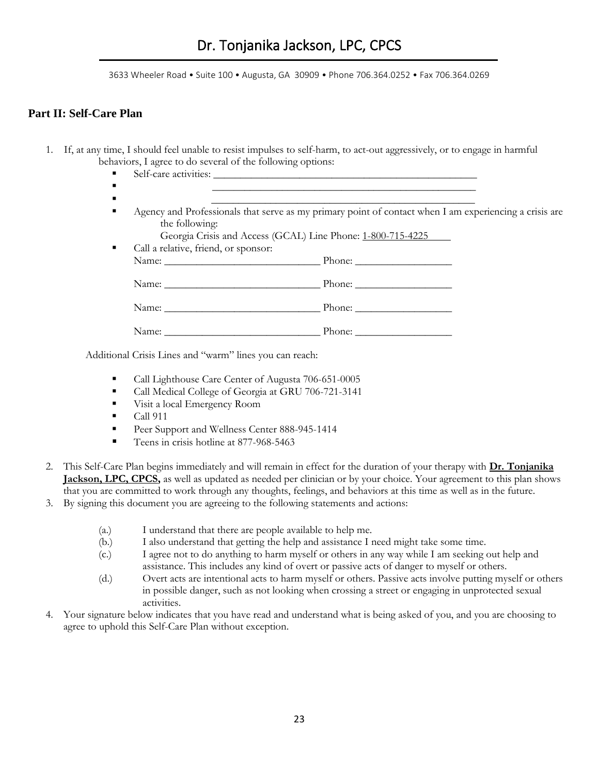### **Part II: Self-Care Plan**

- 1. If, at any time, I should feel unable to resist impulses to self-harm, to act-out aggressively, or to engage in harmful behaviors, I agree to do several of the following options:
	- Self-care activities: \_\_\_\_\_\_\_\_\_\_\_\_\_\_\_\_\_\_\_\_\_\_\_\_\_\_\_\_\_\_\_\_\_\_\_\_\_\_\_\_\_\_\_\_\_\_\_\_\_
	- \_\_\_\_\_\_\_\_\_\_\_\_\_\_\_\_\_\_\_\_\_\_\_\_\_\_\_\_\_\_\_\_\_\_\_\_\_\_\_\_\_\_\_\_\_\_\_\_\_ ▪ \_\_\_\_\_\_\_\_\_\_\_\_\_\_\_\_\_\_\_\_\_\_\_\_\_\_\_\_\_\_\_\_\_\_\_\_\_\_\_\_\_\_\_\_\_\_\_\_\_
	- Agency and Professionals that serve as my primary point of contact when I am experiencing a crisis are the following:

|                                      | Georgia Crisis and Access (GCAL) Line Phone: 1-800-715-4225 |
|--------------------------------------|-------------------------------------------------------------|
| Call a relative, friend, or sponsor: |                                                             |
|                                      |                                                             |
|                                      |                                                             |
|                                      | Name: Phone: Phone: Phone:                                  |
|                                      | Name: Phone: Phone: Phone:                                  |
|                                      |                                                             |
|                                      | Phone: $\_\_$                                               |

Additional Crisis Lines and "warm" lines you can reach:

- Call Lighthouse Care Center of Augusta 706-651-0005
- Call Medical College of Georgia at GRU 706-721-3141
- Visit a local Emergency Room
- $\blacksquare$  Call 911
- Peer Support and Wellness Center 888-945-1414
- Teens in crisis hotline at 877-968-5463
- 2. This Self-Care Plan begins immediately and will remain in effect for the duration of your therapy with **Dr. Tonjanika Jackson, LPC, CPCS,** as well as updated as needed per clinician or by your choice. Your agreement to this plan shows that you are committed to work through any thoughts, feelings, and behaviors at this time as well as in the future.
- 3. By signing this document you are agreeing to the following statements and actions:
	- (a.) I understand that there are people available to help me.
	- (b.) I also understand that getting the help and assistance I need might take some time.
	- (c.) I agree not to do anything to harm myself or others in any way while I am seeking out help and assistance. This includes any kind of overt or passive acts of danger to myself or others.
	- (d.) Overt acts are intentional acts to harm myself or others. Passive acts involve putting myself or others in possible danger, such as not looking when crossing a street or engaging in unprotected sexual activities.
- 4. Your signature below indicates that you have read and understand what is being asked of you, and you are choosing to agree to uphold this Self-Care Plan without exception.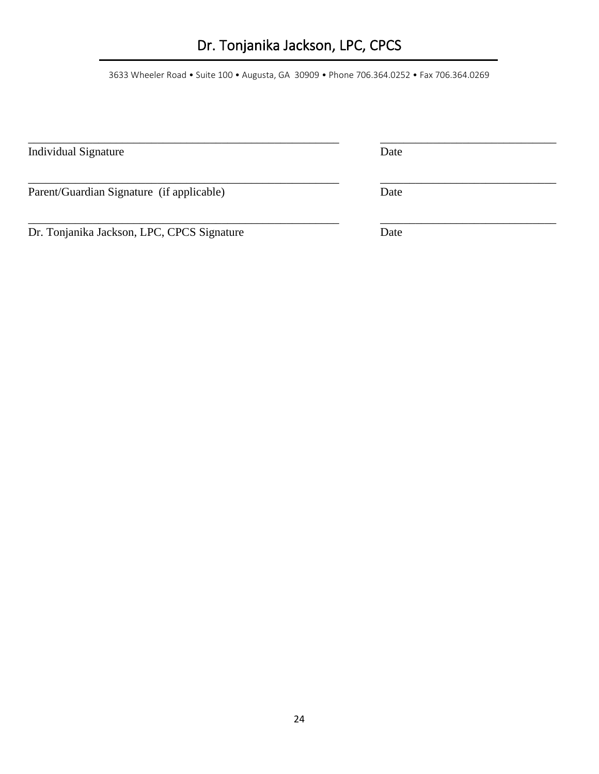3633 Wheeler Road • Suite 100 • Augusta, GA 30909 • Phone 706.364.0252 • Fax 706.364.0269

| <b>Individual Signature</b>                | Date |  |
|--------------------------------------------|------|--|
| Parent/Guardian Signature (if applicable)  | Date |  |
| Dr. Tonjanika Jackson, LPC, CPCS Signature | Date |  |